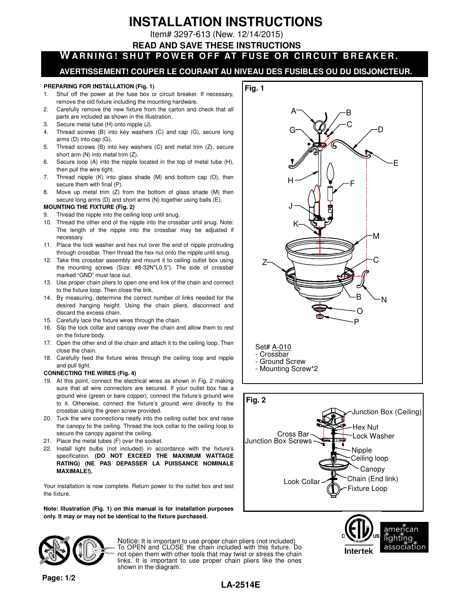# **INSTALLATION INSTRUCTIONS**

Item# 3297-613 (New. 12/14/2015)

## **READ AND SAVE THESE INSTRUCTIONS**

**WARNING! SHUT POWER OFF AT FUSE OR CIRCUIT BREAKER.** 

# **AVERTISSEMENT! COUPER LE COURANT AU NIVEAU DES FUSIBLES OU DU DISJONCTEUR.**

#### **PREPARING FOR INSTALLATION (Fig. 1)**

- 1. Shut off the power at the fuse box or circuit breaker. If necessary, remove the old fixture including the mounting hardware.
- 2. Carefully remove the new fixture from the carton and check that all parts are included as shown in the illustration.
- 3. Secure metal tube (H) onto nipple (J).
- 4. Thread screws (B) into key washers (C) and cap (G), secure long arms (D) into cap (G).
- 5. Thread screws (B) into key washers (C) and metal trim (Z), secure short arm (N) into metal trim (Z).
- 6. Secure loop (A) into the nipple located in the top of metal tube (H), then pull the wire tight.
- 7. Thread nipple (K) into glass shade (M) and bottom cap (O), then secure them with final (P).
- 8. Move up metal trim (Z) from the bottom of glass shade (M) then secure long arms (D) and short arms (N) together using balls (E).

#### **MOUNTING THE FIXTURE (Fig. 2)**

- 9. Thread the nipple into the ceiling loop until snug.
- 10. Thread the other end of the nipple into the crossbar until snug. Note: The length of the nipple into the crossbar may be adjusted if necessary.
- 11. Place the lock washer and hex nut over the end of nipple protruding through crossbar. Then thread the hex nut onto the nipple until snug.
- 12. Take this crossbar assembly and mount it to ceiling outlet box using the mounting screws (Size: #8-32N\*L0.5"). The side of crossbar marked "GND" must face out.
- 13. Use proper chain pliers to open one end link of the chain and connect to the fixture loop. Then close the link.
- 14. By measuring, determine the correct number of links needed for the desired hanging height. Using the chain pliers, disconnect and discard the excess chain.
- 15. Carefully lace the fixture wires through the chain.
- 16. Slip the lock collar and canopy over the chain and allow them to rest on the fixture body.
- 17. Open the other end of the chain and attach it to the ceiling loop. Then close the chain.
- 18. Carefully feed the fixture wires through the ceiling loop and nipple and pull tight.

#### **CONNECTING THE WIRES (Fig. 4)**

- 19. At this point, connect the electrical wires as shown in Fig. 2 making sure that all wire connectors are secured. If your outlet box has a ground wire (green or bare copper), connect the fixture's ground wire to it. Otherwise, connect the fixture's ground wire directly to the crossbar using the green screw provided.
- 20. Tuck the wire connections neatly into the ceiling outlet box and raise the canopy to the ceiling. Thread the lock collar to the ceiling loop to secure the canopy against the ceiling.
- 21. Place the metal tubes (F) over the socket.
- 22. Install light bulbs (not included) in accordance with the fixture's specification. **(DO NOT EXCEED THE MAXIMUM WATTAGE RATING) (NE PAS DEPASSER LA PUISSANCE NOMINALE MAXIMALE!).**

Your installation is now complete. Return power to the outlet box and test the fixture.

**Note: Illustration (Fig. 1) on this manual is for installation purposes only. It may or may not be identical to the fixture purchased.** 





**Intertek** 

american lighting association



Notice: It is important to use proper chain pliers (not included) To OPEN and CLOSE the chain included with this fixture. Do not open them with other tools that may twist or stress the chain links. It is important to use proper chain pliers like the ones shown in the diagram.

# **LA-2514E**